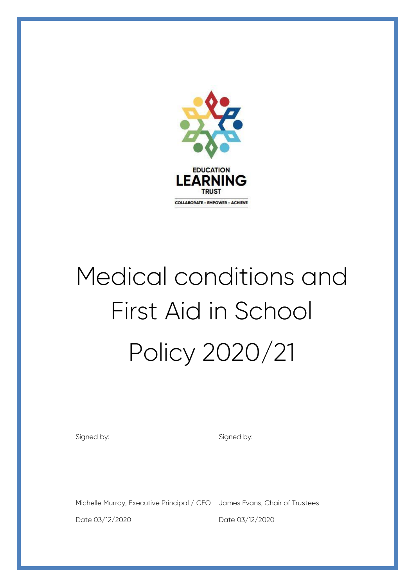

# Medical conditions and First Aid in School Policy 2020/21

Signed by:

Signed by:

Michelle Murray, Executive Principal / CEO James Evans, Chair of Trustees

Date 03/12/2020

Date 03/12/2020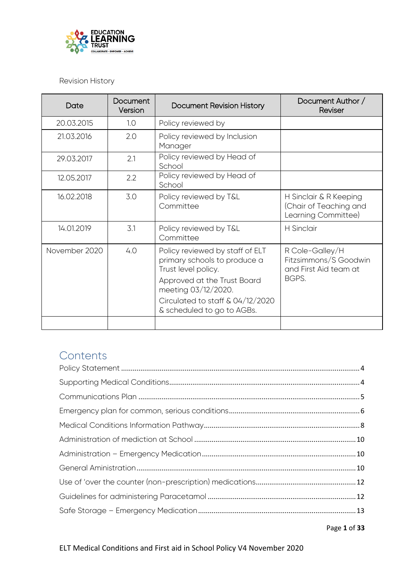

Revision History

| Date          | Document<br>Version | Document Revision History                                                                                                                                                                                         | Document Author /<br>Reviser                                               |
|---------------|---------------------|-------------------------------------------------------------------------------------------------------------------------------------------------------------------------------------------------------------------|----------------------------------------------------------------------------|
| 20.03.2015    | 1.0                 | Policy reviewed by                                                                                                                                                                                                |                                                                            |
| 21.03.2016    | 2.0                 | Policy reviewed by Inclusion<br>Manager                                                                                                                                                                           |                                                                            |
| 29.03.2017    | 2.1                 | Policy reviewed by Head of<br>School                                                                                                                                                                              |                                                                            |
| 12.05.2017    | 2.2                 | Policy reviewed by Head of<br>School                                                                                                                                                                              |                                                                            |
| 16.02.2018    | 3.0                 | Policy reviewed by T&L<br>Committee                                                                                                                                                                               | H Sinclair & R Keeping<br>(Chair of Teaching and<br>Learning Committee)    |
| 14.01.2019    | 3.1                 | Policy reviewed by T&L<br>Committee                                                                                                                                                                               | <b>H</b> Sinclair                                                          |
| November 2020 | 4.0                 | Policy reviewed by staff of ELT<br>primary schools to produce a<br>Trust level policy.<br>Approved at the Trust Board<br>meeting 03/12/2020.<br>Circulated to staff $\&$ 04/12/2020<br>& scheduled to go to AGBs. | R Cole-Galley/H<br>Fitzsimmons/S Goodwin<br>and First Aid team at<br>BGPS. |
|               |                     |                                                                                                                                                                                                                   |                                                                            |

# **Contents**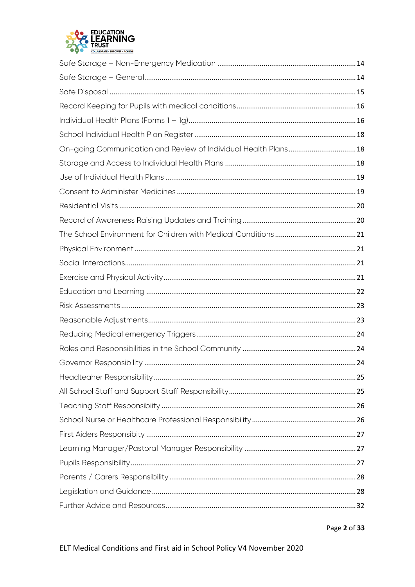

| On-going Communication and Review of Individual Health Plans 18 |  |
|-----------------------------------------------------------------|--|
|                                                                 |  |
|                                                                 |  |
|                                                                 |  |
|                                                                 |  |
|                                                                 |  |
|                                                                 |  |
|                                                                 |  |
|                                                                 |  |
|                                                                 |  |
|                                                                 |  |
|                                                                 |  |
|                                                                 |  |
|                                                                 |  |
|                                                                 |  |
|                                                                 |  |
|                                                                 |  |
|                                                                 |  |
|                                                                 |  |
|                                                                 |  |
|                                                                 |  |
|                                                                 |  |
|                                                                 |  |
|                                                                 |  |
|                                                                 |  |
|                                                                 |  |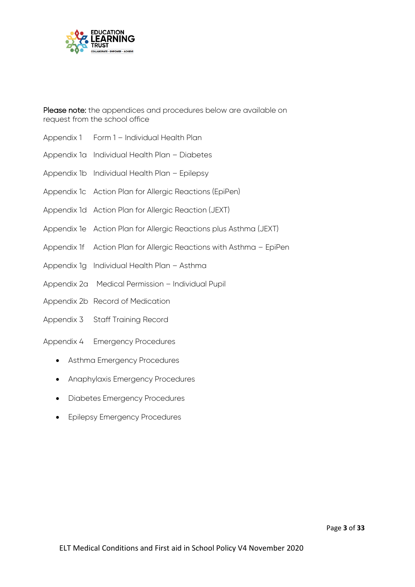

Please note: the appendices and procedures below are available on request from the school office

- Appendix 1 Form 1 Individual Health Plan
- Appendix 1a Individual Health Plan Diabetes
- Appendix 1b Individual Health Plan Epilepsy
- Appendix 1c Action Plan for Allergic Reactions (EpiPen)
- Appendix 1d Action Plan for Allergic Reaction (JEXT)
- Appendix 1e Action Plan for Allergic Reactions plus Asthma (JEXT)
- Appendix 1f Action Plan for Allergic Reactions with Asthma EpiPen
- Appendix 1g Individual Health Plan Asthma
- Appendix 2a Medical Permission Individual Pupil
- Appendix 2b Record of Medication
- Appendix 3 Staff Training Record
- Appendix 4 Emergency Procedures
	- Asthma Emergency Procedures
	- Anaphylaxis Emergency Procedures
	- Diabetes Emergency Procedures
	- **•** Epilepsy Emergency Procedures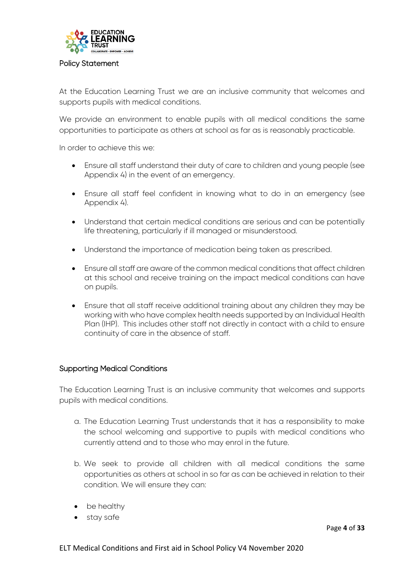

#### <span id="page-4-0"></span>Policy Statement

At the Education Learning Trust we are an inclusive community that welcomes and supports pupils with medical conditions.

We provide an environment to enable pupils with all medical conditions the same opportunities to participate as others at school as far as is reasonably practicable.

In order to achieve this we:

- Ensure all staff understand their duty of care to children and young people (see Appendix 4) in the event of an emergency.
- Ensure all staff feel confident in knowing what to do in an emergency (see Appendix 4).
- Understand that certain medical conditions are serious and can be potentially life threatening, particularly if ill managed or misunderstood.
- Understand the importance of medication being taken as prescribed.
- Ensure all staff are aware of the common medical conditions that affect children at this school and receive training on the impact medical conditions can have on pupils.
- Ensure that all staff receive additional training about any children they may be working with who have complex health needs supported by an Individual Health Plan (IHP). This includes other staff not directly in contact with a child to ensure continuity of care in the absence of staff.

#### <span id="page-4-1"></span>Supporting Medical Conditions

The Education Learning Trust is an inclusive community that welcomes and supports pupils with medical conditions.

- a. The Education Learning Trust understands that it has a responsibility to make the school welcoming and supportive to pupils with medical conditions who currently attend and to those who may enrol in the future.
- b. We seek to provide all children with all medical conditions the same opportunities as others at school in so far as can be achieved in relation to their condition. We will ensure they can:
- be healthy
- stay safe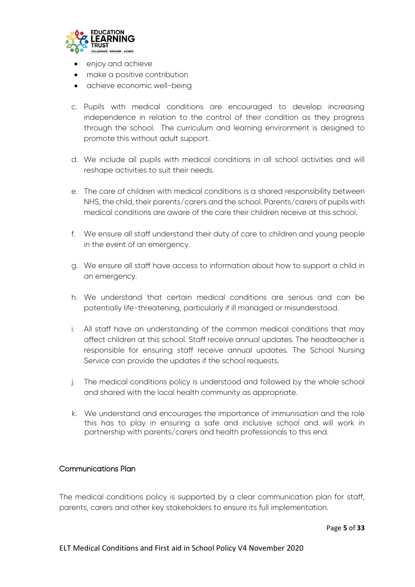

- enjoy and achieve
- make a positive contribution
- achieve economic well-being
- c. Pupils with medical conditions are encouraged to develop increasing independence in relation to the control of their condition as they progress through the school. The curriculum and learning environment is designed to promote this without adult support.
- d. We include all pupils with medical conditions in all school activities and will reshape activities to suit their needs.
- e. The care of children with medical conditions is a shared responsibility between NHS, the child, their parents/carers and the school. Parents/carers of pupils with medical conditions are aware of the care their children receive at this school.
- f. We ensure all staff understand their duty of care to children and young people in the event of an emergency.
- g. We ensure all staff have access to information about how to support a child in an emergency.
- h. We understand that certain medical conditions are serious and can be potentially life-threatening, particularly if ill managed or misunderstood.
- i. All staff have an understanding of the common medical conditions that may affect children at this school. Staff receive annual updates. The headteacher is responsible for ensuring staff receive annual updates. The School Nursing Service can provide the updates if the school requests.
- j. The medical conditions policy is understood and followed by the whole school and shared with the local health community as appropriate.
- k. We understand and encourages the importance of immunisation and the role this has to play in ensuring a safe and inclusive school and will work in partnership with parents/carers and health professionals to this end.

#### <span id="page-5-0"></span>Communications Plan

The medical conditions policy is supported by a clear communication plan for staff, parents, carers and other key stakeholders to ensure its full implementation.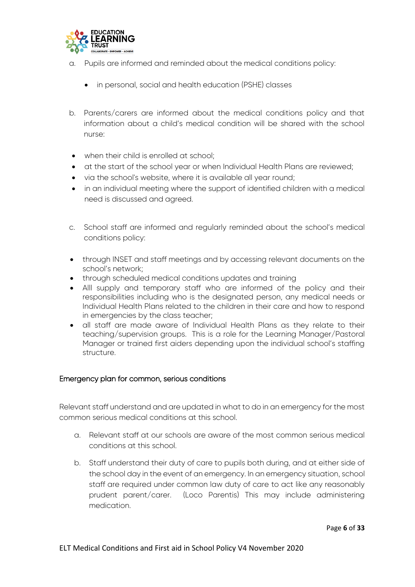

- a. Pupils are informed and reminded about the medical conditions policy:
	- in personal, social and health education (PSHE) classes
- b. Parents/carers are informed about the medical conditions policy and that information about a child's medical condition will be shared with the school nurse:
- when their child is enrolled at school;
- at the start of the school year or when Individual Health Plans are reviewed;
- via the school's website, where it is available all year round;
- in an individual meeting where the support of identified children with a medical need is discussed and agreed.
- c. School staff are informed and regularly reminded about the school's medical conditions policy:
- through INSET and staff meetings and by accessing relevant documents on the school's network;
- through scheduled medical conditions updates and training
- Alll supply and temporary staff who are informed of the policy and their responsibilities including who is the designated person, any medical needs or Individual Health Plans related to the children in their care and how to respond in emergencies by the class teacher;
- all staff are made aware of Individual Health Plans as they relate to their teaching/supervision groups. This is a role for the Learning Manager/Pastoral Manager or trained first aiders depending upon the individual school's staffing structure.

# <span id="page-6-0"></span>Emergency plan for common, serious conditions

Relevant staff understand and are updated in what to do in an emergency for the most common serious medical conditions at this school.

- a. Relevant staff at our schools are aware of the most common serious medical conditions at this school.
- b. Staff understand their duty of care to pupils both during, and at either side of the school day in the event of an emergency. In an emergency situation, school staff are required under common law duty of care to act like any reasonably prudent parent/carer. (Loco Parentis) This may include administering medication.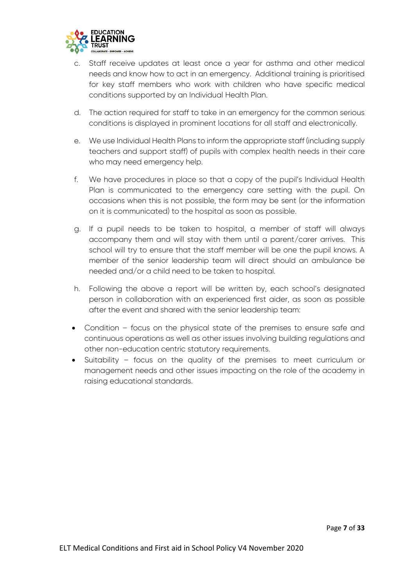

- c. Staff receive updates at least once a year for asthma and other medical needs and know how to act in an emergency. Additional training is prioritised for key staff members who work with children who have specific medical conditions supported by an Individual Health Plan.
- d. The action required for staff to take in an emergency for the common serious conditions is displayed in prominent locations for all staff and electronically.
- e. We use Individual Health Plans to inform the appropriate staff (including supply teachers and support staff) of pupils with complex health needs in their care who may need emergency help.
- f. We have procedures in place so that a copy of the pupil's Individual Health Plan is communicated to the emergency care setting with the pupil. On occasions when this is not possible, the form may be sent (or the information on it is communicated) to the hospital as soon as possible.
- g. If a pupil needs to be taken to hospital, a member of staff will always accompany them and will stay with them until a parent/carer arrives. This school will try to ensure that the staff member will be one the pupil knows. A member of the senior leadership team will direct should an ambulance be needed and/or a child need to be taken to hospital.
- h. Following the above a report will be written by, each school's designated person in collaboration with an experienced first aider, as soon as possible after the event and shared with the senior leadership team:
- Condition focus on the physical state of the premises to ensure safe and continuous operations as well as other issues involving building regulations and other non-education centric statutory requirements.
- Suitability focus on the quality of the premises to meet curriculum or management needs and other issues impacting on the role of the academy in raising educational standards.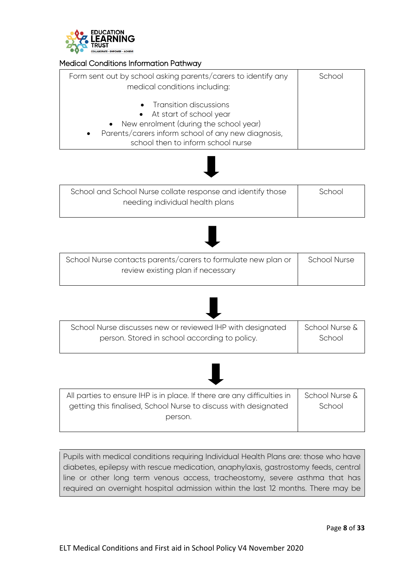

# <span id="page-8-0"></span>Medical Conditions Information Pathway

| Form sent out by school asking parents/carers to identify any<br>medical conditions including:                                                                                                             | School |
|------------------------------------------------------------------------------------------------------------------------------------------------------------------------------------------------------------|--------|
| • Transition discussions<br>• At start of school year<br>• New enrolment (during the school year)<br>Parents/carers inform school of any new diagnosis,<br>$\bullet$<br>school then to inform school nurse |        |



| School and School Nurse collate response and identify those | School |
|-------------------------------------------------------------|--------|
| needing individual health plans                             |        |
|                                                             |        |



| School Nurse contacts parents/carers to formulate new plan or | <b>School Nurse</b> |
|---------------------------------------------------------------|---------------------|
| review existing plan if necessary                             |                     |
|                                                               |                     |





| All parties to ensure IHP is in place. If there are any difficulties in | School Nurse & |
|-------------------------------------------------------------------------|----------------|
| getting this finalised, School Nurse to discuss with designated         | School         |
| person.                                                                 |                |

Pupils with medical conditions requiring Individual Health Plans are: those who have diabetes, epilepsy with rescue medication, anaphylaxis, gastrostomy feeds, central line or other long term venous access, tracheostomy, severe asthma that has required an overnight hospital admission within the last 12 months. There may be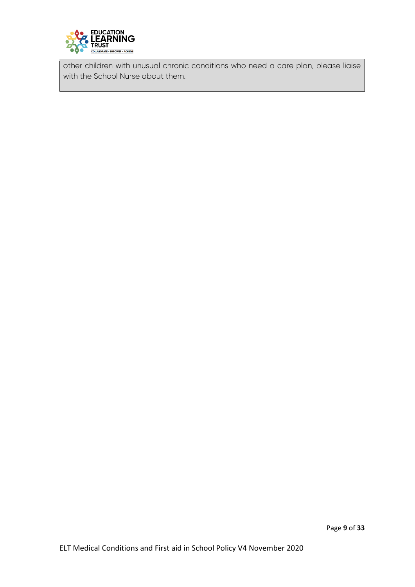

other children with unusual chronic conditions who need a care plan, please liaise with the School Nurse about them.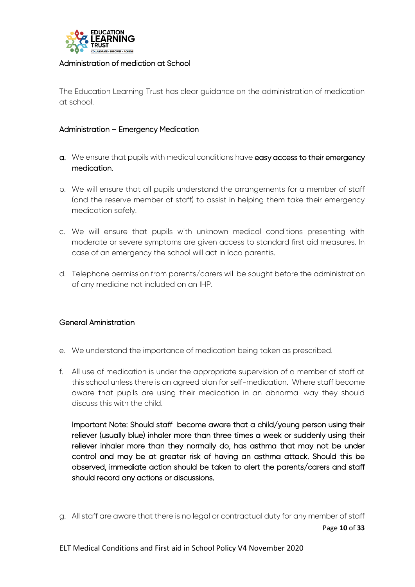

#### <span id="page-10-0"></span>Administration of mediction at School

The Education Learning Trust has clear guidance on the administration of medication at school.

#### <span id="page-10-1"></span>Administration – Emergency Medication

- a. We ensure that pupils with medical conditions have easy access to their emergency medication.
- b. We will ensure that all pupils understand the arrangements for a member of staff (and the reserve member of staff) to assist in helping them take their emergency medication safely.
- c. We will ensure that pupils with unknown medical conditions presenting with moderate or severe symptoms are given access to standard first aid measures. In case of an emergency the school will act in loco parentis.
- d. Telephone permission from parents/carers will be sought before the administration of any medicine not included on an IHP.

#### <span id="page-10-2"></span>General Aministration

- e. We understand the importance of medication being taken as prescribed.
- f. All use of medication is under the appropriate supervision of a member of staff at this school unless there is an agreed plan for self-medication. Where staff become aware that pupils are using their medication in an abnormal way they should discuss this with the child.

Important Note: Should staff become aware that a child/young person using their reliever (usually blue) inhaler more than three times a week or suddenly using their reliever inhaler more than they normally do, has asthma that may not be under control and may be at greater risk of having an asthma attack. Should this be observed, immediate action should be taken to alert the parents/carers and staff should record any actions or discussions.

Page **10** of **33** g. All staff are aware that there is no legal or contractual duty for any member of staff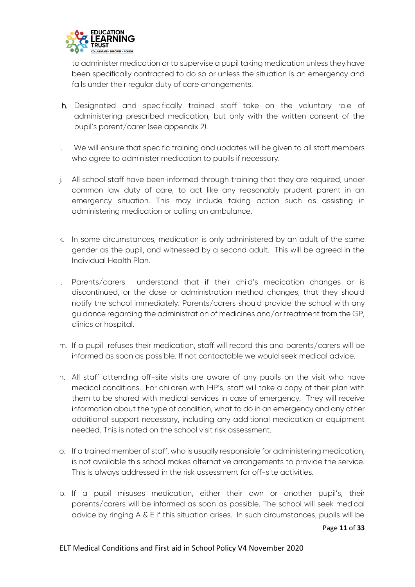

to administer medication or to supervise a pupil taking medication unless they have been specifically contracted to do so or unless the situation is an emergency and falls under their regular duty of care arrangements.

- h. Designated and specifically trained staff take on the voluntary role of administering prescribed medication, but only with the written consent of the pupil's parent/carer (see appendix 2).
- i. We will ensure that specific training and updates will be given to all staff members who agree to administer medication to pupils if necessary.
- j. All school staff have been informed through training that they are required, under common law duty of care, to act like any reasonably prudent parent in an emergency situation. This may include taking action such as assisting in administering medication or calling an ambulance.
- k. In some circumstances, medication is only administered by an adult of the same gender as the pupil, and witnessed by a second adult. This will be agreed in the Individual Health Plan.
- l. Parents/carers understand that if their child's medication changes or is discontinued, or the dose or administration method changes, that they should notify the school immediately. Parents/carers should provide the school with any guidance regarding the administration of medicines and/or treatment from the GP, clinics or hospital.
- m. If a pupil refuses their medication, staff will record this and parents/carers will be informed as soon as possible. If not contactable we would seek medical advice.
- n. All staff attending off-site visits are aware of any pupils on the visit who have medical conditions. For children with IHP's, staff will take a copy of their plan with them to be shared with medical services in case of emergency. They will receive information about the type of condition, what to do in an emergency and any other additional support necessary, including any additional medication or equipment needed. This is noted on the school visit risk assessment.
- o. If a trained member of staff, who is usually responsible for administering medication, is not available this school makes alternative arrangements to provide the service. This is always addressed in the risk assessment for off-site activities.
- p. If a pupil misuses medication, either their own or another pupil's, their parents/carers will be informed as soon as possible. The school will seek medical advice by ringing A & E if this situation arises. In such circumstances, pupils will be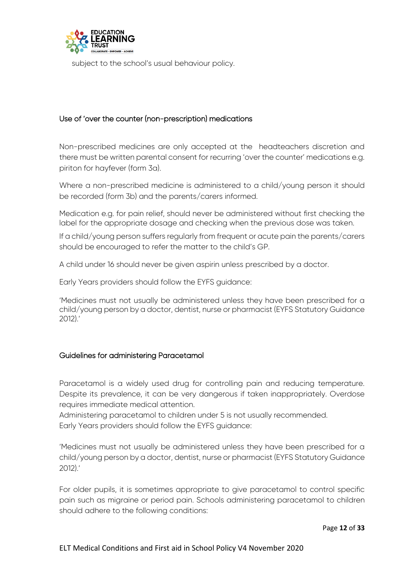

subject to the school's usual behaviour policy.

# <span id="page-12-0"></span>Use of 'over the counter (non-prescription) medications

Non-prescribed medicines are only accepted at the headteachers discretion and there must be written parental consent for recurring 'over the counter' medications e.g. piriton for hayfever (form 3a).

Where a non-prescribed medicine is administered to a child/young person it should be recorded (form 3b) and the parents/carers informed.

Medication e.g. for pain relief, should never be administered without first checking the label for the appropriate dosage and checking when the previous dose was taken.

If a child/young person suffers regularly from frequent or acute pain the parents/carers should be encouraged to refer the matter to the child's GP.

A child under 16 should never be given aspirin unless prescribed by a doctor.

Early Years providers should follow the EYFS guidance:

'Medicines must not usually be administered unless they have been prescribed for a child/young person by a doctor, dentist, nurse or pharmacist (EYFS Statutory Guidance 2012).'

# <span id="page-12-1"></span>Guidelines for administering Paracetamol

Paracetamol is a widely used drug for controlling pain and reducing temperature. Despite its prevalence, it can be very dangerous if taken inappropriately. Overdose requires immediate medical attention.

Administering paracetamol to children under 5 is not usually recommended. Early Years providers should follow the EYFS guidance:

'Medicines must not usually be administered unless they have been prescribed for a child/young person by a doctor, dentist, nurse or pharmacist (EYFS Statutory Guidance 2012).'

For older pupils, it is sometimes appropriate to give paracetamol to control specific pain such as migraine or period pain. Schools administering paracetamol to children should adhere to the following conditions: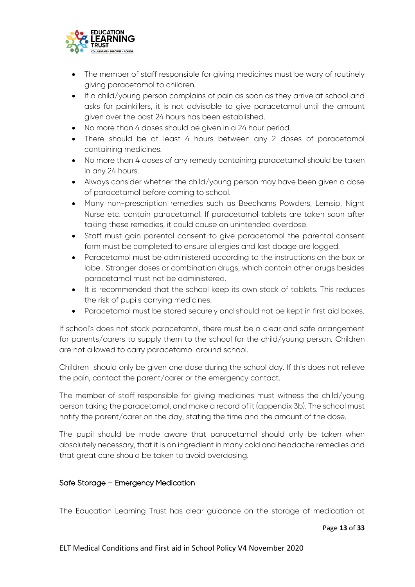

- The member of staff responsible for giving medicines must be wary of routinely giving paracetamol to children.
- If a child/young person complains of pain as soon as they arrive at school and asks for painkillers, it is not advisable to give paracetamol until the amount given over the past 24 hours has been established.
- No more than 4 doses should be given in a 24 hour period.
- There should be at least 4 hours between any 2 doses of paracetamol containing medicines.
- No more than 4 doses of any remedy containing paracetamol should be taken in any 24 hours.
- Always consider whether the child/young person may have been given a dose of paracetamol before coming to school.
- Many non-prescription remedies such as Beechams Powders, Lemsip, Night Nurse etc. contain paracetamol. If paracetamol tablets are taken soon after taking these remedies, it could cause an unintended overdose.
- Staff must gain parental consent to give paracetamol the parental consent form must be completed to ensure allergies and last doage are logged.
- Paracetamol must be administered according to the instructions on the box or label. Stronger doses or combination drugs, which contain other drugs besides paracetamol must not be administered.
- It is recommended that the school keep its own stock of tablets. This reduces the risk of pupils carrying medicines.
- Paracetamol must be stored securely and should not be kept in first aid boxes.

If school's does not stock paracetamol, there must be a clear and safe arrangement for parents/carers to supply them to the school for the child/young person. Children are not allowed to carry paracetamol around school.

Children should only be given one dose during the school day. If this does not relieve the pain, contact the parent/carer or the emergency contact.

The member of staff responsible for giving medicines must witness the child/young person taking the paracetamol, and make a record of it (appendix 3b). The school must notify the parent/carer on the day, stating the time and the amount of the dose.

The pupil should be made aware that paracetamol should only be taken when absolutely necessary, that it is an ingredient in many cold and headache remedies and that great care should be taken to avoid overdosing.

# <span id="page-13-0"></span>Safe Storage – Emergency Medication

The Education Learning Trust has clear guidance on the storage of medication at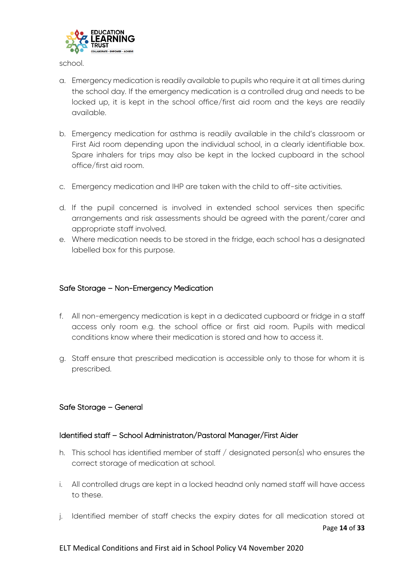

school.

- a. Emergency medication is readily available to pupils who require it at all times during the school day. If the emergency medication is a controlled drug and needs to be locked up, it is kept in the school office/first aid room and the keys are readily available.
- b. Emergency medication for asthma is readily available in the child's classroom or First Aid room depending upon the individual school, in a clearly identifiable box. Spare inhalers for trips may also be kept in the locked cupboard in the school office/first aid room.
- c. Emergency medication and IHP are taken with the child to off-site activities.
- d. If the pupil concerned is involved in extended school services then specific arrangements and risk assessments should be agreed with the parent/carer and appropriate staff involved.
- e. Where medication needs to be stored in the fridge, each school has a designated labelled box for this purpose.

#### <span id="page-14-0"></span>Safe Storage – Non-Emergency Medication

- f. All non-emergency medication is kept in a dedicated cupboard or fridge in a staff access only room e.g. the school office or first aid room. Pupils with medical conditions know where their medication is stored and how to access it.
- g. Staff ensure that prescribed medication is accessible only to those for whom it is prescribed.

#### <span id="page-14-1"></span>Safe Storage – General

#### Identified staff – School Administraton/Pastoral Manager/First Aider

- h. This school has identified member of staff / designated person(s) who ensures the correct storage of medication at school.
- i. All controlled drugs are kept in a locked headnd only named staff will have access to these.
- Page **14** of **33** j. Identified member of staff checks the expiry dates for all medication stored at

#### ELT Medical Conditions and First aid in School Policy V4 November 2020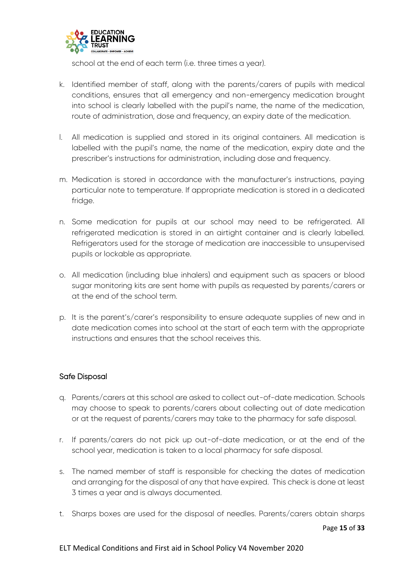

school at the end of each term (i.e. three times a year).

- k. Identified member of staff, along with the parents/carers of pupils with medical conditions, ensures that all emergency and non-emergency medication brought into school is clearly labelled with the pupil's name, the name of the medication, route of administration, dose and frequency, an expiry date of the medication.
- l. All medication is supplied and stored in its original containers. All medication is labelled with the pupil's name, the name of the medication, expiry date and the prescriber's instructions for administration, including dose and frequency.
- m. Medication is stored in accordance with the manufacturer's instructions, paying particular note to temperature. If appropriate medication is stored in a dedicated fridge.
- n. Some medication for pupils at our school may need to be refrigerated. All refrigerated medication is stored in an airtight container and is clearly labelled. Refrigerators used for the storage of medication are inaccessible to unsupervised pupils or lockable as appropriate.
- o. All medication (including blue inhalers) and equipment such as spacers or blood sugar monitoring kits are sent home with pupils as requested by parents/carers or at the end of the school term.
- p. It is the parent's/carer's responsibility to ensure adequate supplies of new and in date medication comes into school at the start of each term with the appropriate instructions and ensures that the school receives this.

# <span id="page-15-0"></span>Safe Disposal

- q. Parents/carers at this school are asked to collect out-of-date medication. Schools may choose to speak to parents/carers about collecting out of date medication or at the request of parents/carers may take to the pharmacy for safe disposal.
- r. If parents/carers do not pick up out-of-date medication, or at the end of the school year, medication is taken to a local pharmacy for safe disposal.
- s. The named member of staff is responsible for checking the dates of medication and arranging for the disposal of any that have expired. This check is done at least 3 times a year and is always documented.
- t. Sharps boxes are used for the disposal of needles. Parents/carers obtain sharps

Page **15** of **33**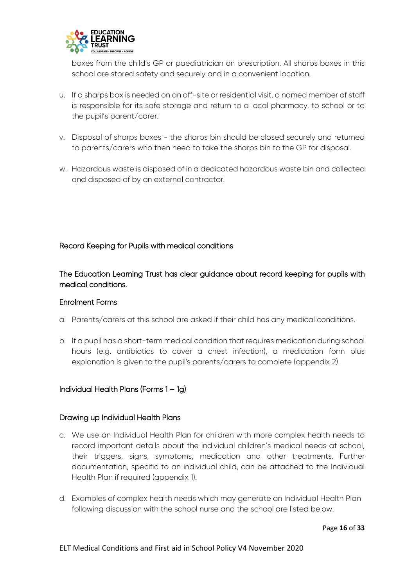

boxes from the child's GP or paediatrician on prescription. All sharps boxes in this school are stored safety and securely and in a convenient location.

- u. If a sharps box is needed on an off-site or residential visit, a named member of staff is responsible for its safe storage and return to a local pharmacy, to school or to the pupil's parent/carer.
- v. Disposal of sharps boxes the sharps bin should be closed securely and returned to parents/carers who then need to take the sharps bin to the GP for disposal.
- w. Hazardous waste is disposed of in a dedicated hazardous waste bin and collected and disposed of by an external contractor.

# <span id="page-16-0"></span>Record Keeping for Pupils with medical conditions

The Education Learning Trust has clear guidance about record keeping for pupils with medical conditions.

# Enrolment Forms

- a. Parents/carers at this school are asked if their child has any medical conditions.
- b. If a pupil has a short-term medical condition that requires medication during school hours (e.g. antibiotics to cover a chest infection), a medication form plus explanation is given to the pupil's parents/carers to complete (appendix 2).

# <span id="page-16-1"></span>Individual Health Plans (Forms 1 – 1g)

# Drawing up Individual Health Plans

- c. We use an Individual Health Plan for children with more complex health needs to record important details about the individual children's medical needs at school, their triggers, signs, symptoms, medication and other treatments. Further documentation, specific to an individual child, can be attached to the Individual Health Plan if required (appendix 1).
- d. Examples of complex health needs which may generate an Individual Health Plan following discussion with the school nurse and the school are listed below.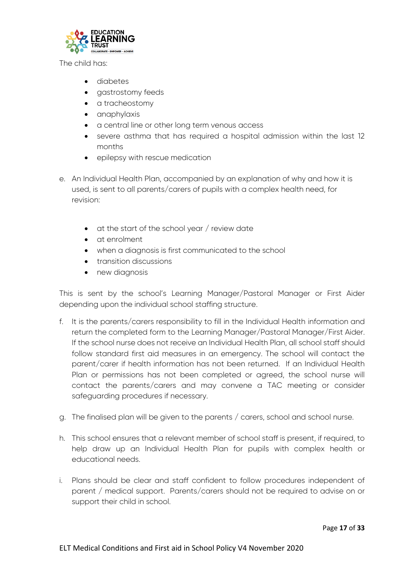

The child has:

- diabetes
- aastrostomy feeds
- a tracheostomy
- anaphylaxis
- a central line or other long term venous access
- severe asthma that has required a hospital admission within the last 12 months
- epilepsy with rescue medication
- e. An Individual Health Plan, accompanied by an explanation of why and how it is used, is sent to all parents/carers of pupils with a complex health need, for revision:
	- $\bullet$  at the start of the school year / review date
	- at enrolment
	- when a diagnosis is first communicated to the school
	- transition discussions
	- new diagnosis

This is sent by the school's Learning Manager/Pastoral Manager or First Aider depending upon the individual school staffing structure.

- f. It is the parents/carers responsibility to fill in the Individual Health information and return the completed form to the Learning Manager/Pastoral Manager/First Aider. If the school nurse does not receive an Individual Health Plan, all school staff should follow standard first aid measures in an emergency. The school will contact the parent/carer if health information has not been returned. If an Individual Health Plan or permissions has not been completed or agreed, the school nurse will contact the parents/carers and may convene a TAC meeting or consider safeguarding procedures if necessary.
- g. The finalised plan will be given to the parents / carers, school and school nurse.
- h. This school ensures that a relevant member of school staff is present, if required, to help draw up an Individual Health Plan for pupils with complex health or educational needs.
- i. Plans should be clear and staff confident to follow procedures independent of parent / medical support. Parents/carers should not be required to advise on or support their child in school.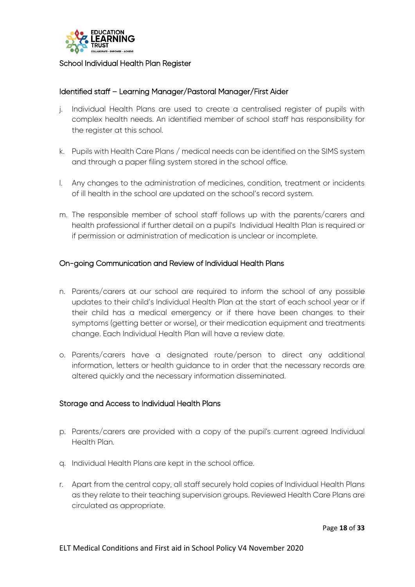

#### <span id="page-18-0"></span>School Individual Health Plan Register

## Identified staff – Learning Manager/Pastoral Manager/First Aider

- j. Individual Health Plans are used to create a centralised register of pupils with complex health needs. An identified member of school staff has responsibility for the register at this school.
- k. Pupils with Health Care Plans / medical needs can be identified on the SIMS system and through a paper filing system stored in the school office.
- l. Any changes to the administration of medicines, condition, treatment or incidents of ill health in the school are updated on the school's record system.
- m. The responsible member of school staff follows up with the parents/carers and health professional if further detail on a pupil's Individual Health Plan is required or if permission or administration of medication is unclear or incomplete.

#### <span id="page-18-1"></span>On-going Communication and Review of Individual Health Plans

- n. Parents/carers at our school are required to inform the school of any possible updates to their child's Individual Health Plan at the start of each school year or if their child has a medical emergency or if there have been changes to their symptoms (getting better or worse), or their medication equipment and treatments change. Each Individual Health Plan will have a review date.
- o. Parents/carers have a designated route/person to direct any additional information, letters or health guidance to in order that the necessary records are altered quickly and the necessary information disseminated.

#### <span id="page-18-2"></span>Storage and Access to Individual Health Plans

- p. Parents/carers are provided with a copy of the pupil's current agreed Individual Health Plan.
- q. Individual Health Plans are kept in the school office.
- r. Apart from the central copy, all staff securely hold copies of Individual Health Plans as they relate to their teaching supervision groups. Reviewed Health Care Plans are circulated as appropriate.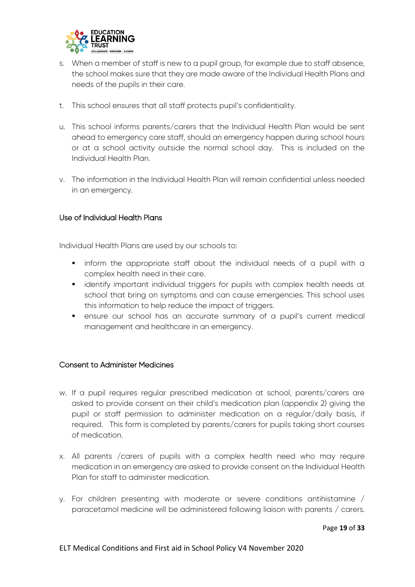

- s. When a member of staff is new to a pupil group, for example due to staff absence, the school makes sure that they are made aware of the Individual Health Plans and needs of the pupils in their care.
- t. This school ensures that all staff protects pupil's confidentiality.
- u. This school informs parents/carers that the Individual Health Plan would be sent ahead to emergency care staff, should an emergency happen during school hours or at a school activity outside the normal school day. This is included on the Individual Health Plan.
- v. The information in the Individual Health Plan will remain confidential unless needed in an emergency.

#### <span id="page-19-0"></span>Use of Individual Health Plans

Individual Health Plans are used by our schools to:

- inform the appropriate staff about the individual needs of a pupil with a complex health need in their care.
- **•** identify important individual triggers for pupils with complex health needs at school that bring on symptoms and can cause emergencies. This school uses this information to help reduce the impact of triggers.
- ensure our school has an accurate summary of a pupil's current medical management and healthcare in an emergency.

#### <span id="page-19-1"></span>Consent to Administer Medicines

- w. If a pupil requires regular prescribed medication at school, parents/carers are asked to provide consent on their child's medication plan (appendix 2) giving the pupil or staff permission to administer medication on a regular/daily basis, if required. This form is completed by parents/carers for pupils taking short courses of medication.
- x. All parents /carers of pupils with a complex health need who may require medication in an emergency are asked to provide consent on the Individual Health Plan for staff to administer medication.
- y. For children presenting with moderate or severe conditions antihistamine / paracetamol medicine will be administered following liaison with parents / carers.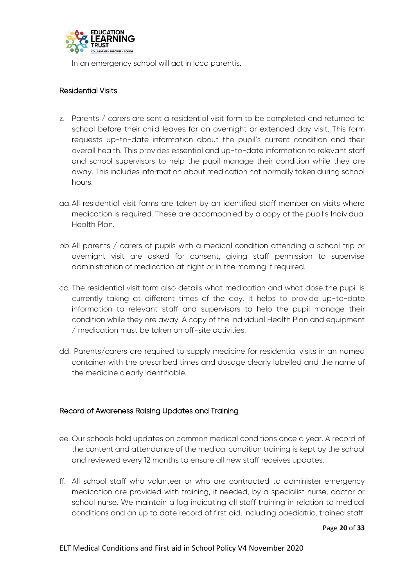

In an emergency school will act in loco parentis.

# <span id="page-20-0"></span>Residential Visits

- z. Parents / carers are sent a residential visit form to be completed and returned to school before their child leaves for an overnight or extended day visit. This form requests up-to-date information about the pupil's current condition and their overall health. This provides essential and up-to-date information to relevant staff and school supervisors to help the pupil manage their condition while they are away. This includes information about medication not normally taken during school hours.
- aa.All residential visit forms are taken by an identified staff member on visits where medication is required. These are accompanied by a copy of the pupil's Individual Health Plan.
- bb.All parents / carers of pupils with a medical condition attending a school trip or overnight visit are asked for consent, giving staff permission to supervise administration of medication at night or in the morning if required.
- cc. The residential visit form also details what medication and what dose the pupil is currently taking at different times of the day. It helps to provide up-to-date information to relevant staff and supervisors to help the pupil manage their condition while they are away. A copy of the Individual Health Plan and equipment / medication must be taken on off-site activities.
- dd. Parents/carers are required to supply medicine for residential visits in an named container with the prescribed times and dosage clearly labelled and the name of the medicine clearly identifiable.

# <span id="page-20-1"></span>Record of Awareness Raising Updates and Training

- ee. Our schools hold updates on common medical conditions once a year. A record of the content and attendance of the medical condition training is kept by the school and reviewed every 12 months to ensure all new staff receives updates.
- ff. All school staff who volunteer or who are contracted to administer emergency medication are provided with training, if needed, by a specialist nurse, doctor or school nurse. We maintain a log indicating all staff training in relation to medical conditions and an up to date record of first aid, including paediatric, trained staff.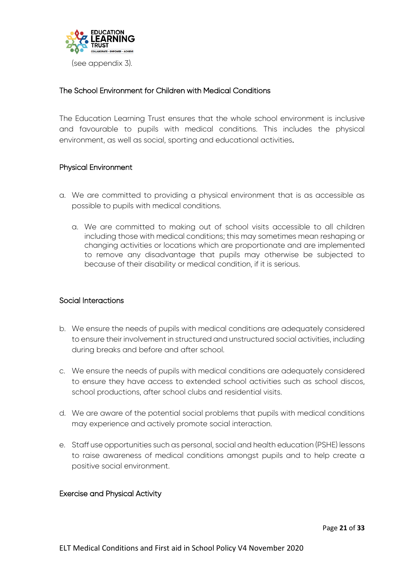

# <span id="page-21-0"></span>The School Environment for Children with Medical Conditions

The Education Learning Trust ensures that the whole school environment is inclusive and favourable to pupils with medical conditions. This includes the physical environment, as well as social, sporting and educational activities.

# <span id="page-21-1"></span>Physical Environment

- a. We are committed to providing a physical environment that is as accessible as possible to pupils with medical conditions.
	- a. We are committed to making out of school visits accessible to all children including those with medical conditions; this may sometimes mean reshaping or changing activities or locations which are proportionate and are implemented to remove any disadvantage that pupils may otherwise be subjected to because of their disability or medical condition, if it is serious.

# <span id="page-21-2"></span>Social Interactions

- b. We ensure the needs of pupils with medical conditions are adequately considered to ensure their involvement in structured and unstructured social activities, including during breaks and before and after school.
- c. We ensure the needs of pupils with medical conditions are adequately considered to ensure they have access to extended school activities such as school discos, school productions, after school clubs and residential visits.
- d. We are aware of the potential social problems that pupils with medical conditions may experience and actively promote social interaction.
- e. Staff use opportunities such as personal, social and health education (PSHE) lessons to raise awareness of medical conditions amongst pupils and to help create a positive social environment.

# <span id="page-21-3"></span>Exercise and Physical Activity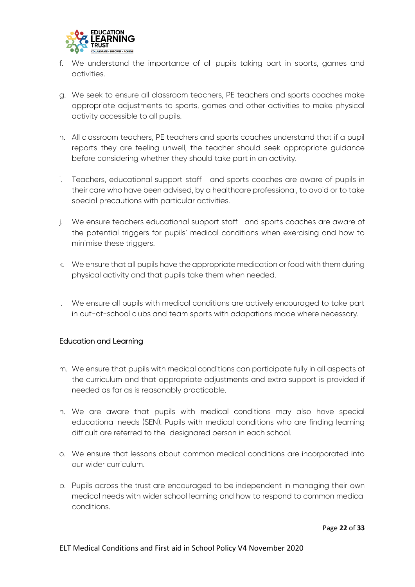

- f. We understand the importance of all pupils taking part in sports, games and activities.
- g. We seek to ensure all classroom teachers, PE teachers and sports coaches make appropriate adjustments to sports, games and other activities to make physical activity accessible to all pupils.
- h. All classroom teachers, PE teachers and sports coaches understand that if a pupil reports they are feeling unwell, the teacher should seek appropriate guidance before considering whether they should take part in an activity.
- i. Teachers, educational support staff and sports coaches are aware of pupils in their care who have been advised, by a healthcare professional, to avoid or to take special precautions with particular activities.
- j. We ensure teachers educational support staff and sports coaches are aware of the potential triggers for pupils' medical conditions when exercising and how to minimise these triggers.
- k. We ensure that all pupils have the appropriate medication or food with them during physical activity and that pupils take them when needed.
- l. We ensure all pupils with medical conditions are actively encouraged to take part in out-of-school clubs and team sports with adapations made where necessary.

# <span id="page-22-0"></span>Education and Learning

- m. We ensure that pupils with medical conditions can participate fully in all aspects of the curriculum and that appropriate adjustments and extra support is provided if needed as far as is reasonably practicable.
- n. We are aware that pupils with medical conditions may also have special educational needs (SEN). Pupils with medical conditions who are finding learning difficult are referred to the designared person in each school.
- o. We ensure that lessons about common medical conditions are incorporated into our wider curriculum.
- p. Pupils across the trust are encouraged to be independent in managing their own medical needs with wider school learning and how to respond to common medical conditions.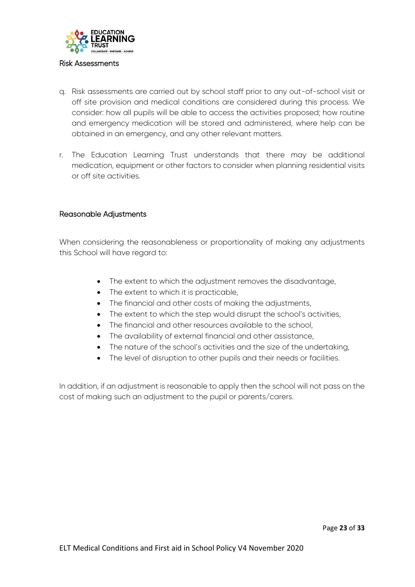

#### <span id="page-23-0"></span>Risk Assessments

- q. Risk assessments are carried out by school staff prior to any out-of-school visit or off site provision and medical conditions are considered during this process. We consider: how all pupils will be able to access the activities proposed; how routine and emergency medication will be stored and administered, where help can be obtained in an emergency, and any other relevant matters.
- r. The Education Learning Trust understands that there may be additional medication, equipment or other factors to consider when planning residential visits or off site activities.

## <span id="page-23-1"></span>Reasonable Adjustments

When considering the reasonableness or proportionality of making any adjustments this School will have regard to:

- The extent to which the adjustment removes the disadvantage,
- The extent to which it is practicable,
- The financial and other costs of making the adjustments,
- The extent to which the step would disrupt the school's activities,
- The financial and other resources available to the school,
- The availability of external financial and other assistance,
- The nature of the school's activities and the size of the undertaking,
- The level of disruption to other pupils and their needs or facilities.

In addition, if an adjustment is reasonable to apply then the school will not pass on the cost of making such an adjustment to the pupil or parents/carers.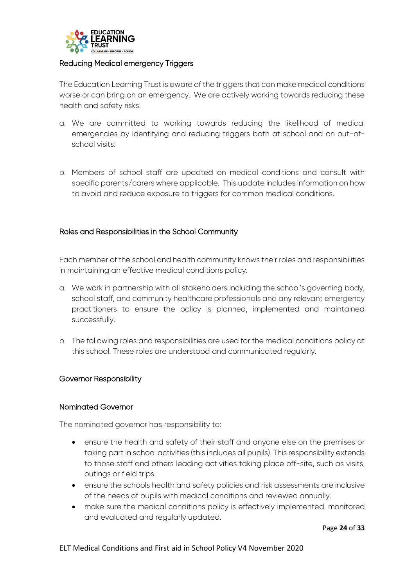

#### <span id="page-24-0"></span>Reducing Medical emergency Triggers

The Education Learning Trust is aware of the triggers that can make medical conditions worse or can bring on an emergency. We are actively working towards reducing these health and safety risks.

- a. We are committed to working towards reducing the likelihood of medical emergencies by identifying and reducing triggers both at school and on out-ofschool visits.
- b. Members of school staff are updated on medical conditions and consult with specific parents/carers where applicable. This update includes information on how to avoid and reduce exposure to triggers for common medical conditions.

# <span id="page-24-1"></span>Roles and Responsibilities in the School Community

Each member of the school and health community knows their roles and responsibilities in maintaining an effective medical conditions policy.

- a. We work in partnership with all stakeholders including the school's governing body, school staff, and community healthcare professionals and any relevant emergency practitioners to ensure the policy is planned, implemented and maintained successfully.
- b. The following roles and responsibilities are used for the medical conditions policy at this school. These roles are understood and communicated regularly.

#### <span id="page-24-2"></span>Governor Responsibility

#### Nominated Governor

The nominated governor has responsibility to:

- ensure the health and safety of their staff and anyone else on the premises or taking part in school activities (this includes all pupils). This responsibility extends to those staff and others leading activities taking place off-site, such as visits, outings or field trips.
- ensure the schools health and safety policies and risk assessments are inclusive of the needs of pupils with medical conditions and reviewed annually.
- make sure the medical conditions policy is effectively implemented, monitored and evaluated and regularly updated.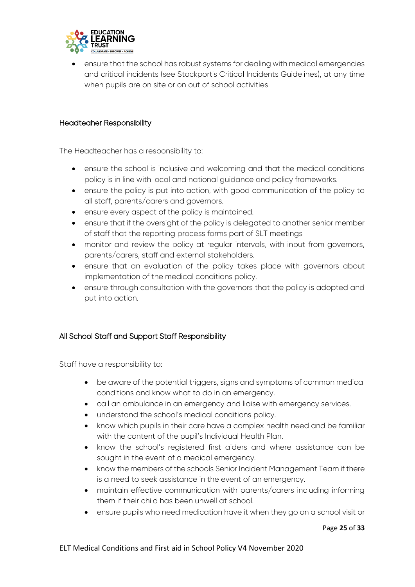

 ensure that the school has robust systems for dealing with medical emergencies and critical incidents (see Stockport's Critical Incidents Guidelines), at any time when pupils are on site or on out of school activities

#### <span id="page-25-0"></span>Headteaher Responsibility

The Headteacher has a responsibility to:

- ensure the school is inclusive and welcoming and that the medical conditions policy is in line with local and national guidance and policy frameworks.
- ensure the policy is put into action, with good communication of the policy to all staff, parents/carers and governors.
- ensure every aspect of the policy is maintained.
- ensure that if the oversight of the policy is delegated to another senior member of staff that the reporting process forms part of SLT meetings
- monitor and review the policy at regular intervals, with input from governors, parents/carers, staff and external stakeholders.
- ensure that an evaluation of the policy takes place with governors about implementation of the medical conditions policy.
- ensure through consultation with the governors that the policy is adopted and put into action.

# <span id="page-25-1"></span>All School Staff and Support Staff Responsibility

Staff have a responsibility to:

- be aware of the potential triggers, signs and symptoms of common medical conditions and know what to do in an emergency.
- call an ambulance in an emergency and liaise with emergency services.
- understand the school's medical conditions policy.
- know which pupils in their care have a complex health need and be familiar with the content of the pupil's Individual Health Plan.
- know the school's registered first aiders and where assistance can be sought in the event of a medical emergency.
- know the members of the schools Senior Incident Management Team if there is a need to seek assistance in the event of an emergency.
- maintain effective communication with parents/carers including informing them if their child has been unwell at school.
- ensure pupils who need medication have it when they go on a school visit or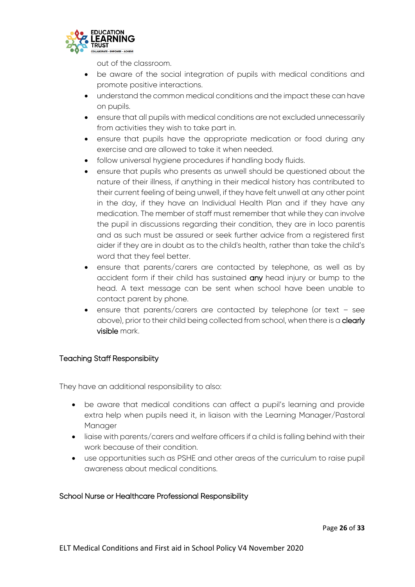

out of the classroom.

- be aware of the social integration of pupils with medical conditions and promote positive interactions.
- understand the common medical conditions and the impact these can have on pupils.
- ensure that all pupils with medical conditions are not excluded unnecessarily from activities they wish to take part in.
- ensure that pupils have the appropriate medication or food during any exercise and are allowed to take it when needed.
- follow universal hygiene procedures if handling body fluids.
- ensure that pupils who presents as unwell should be questioned about the nature of their illness, if anything in their medical history has contributed to their current feeling of being unwell, if they have felt unwell at any other point in the day, if they have an Individual Health Plan and if they have any medication. The member of staff must remember that while they can involve the pupil in discussions regarding their condition, they are in loco parentis and as such must be assured or seek further advice from a registered first aider if they are in doubt as to the child's health, rather than take the child's word that they feel better.
- ensure that parents/carers are contacted by telephone, as well as by accident form if their child has sustained any head injury or bump to the head. A text message can be sent when school have been unable to contact parent by phone.
- ensure that parents/carers are contacted by telephone (or text see above), prior to their child being collected from school, when there is a **clearly** visible mark.

# <span id="page-26-0"></span>Teaching Staff Responsibiity

They have an additional responsibility to also:

- be aware that medical conditions can affect a pupil's learning and provide extra help when pupils need it, in liaison with the Learning Manager/Pastoral Manager
- liaise with parents/carers and welfare officers if a child is falling behind with their work because of their condition.
- use opportunities such as PSHE and other areas of the curriculum to raise pupil awareness about medical conditions.

# <span id="page-26-1"></span>School Nurse or Healthcare Professional Responsibility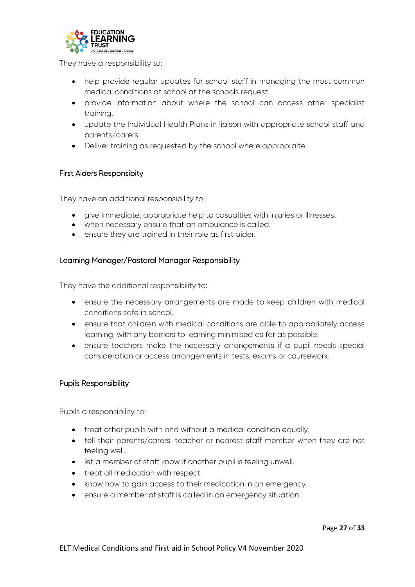

They have a responsibility to:

- help provide regular updates for school staff in managing the most common medical conditions at school at the schools request.
- provide information about where the school can access other specialist training.
- update the Individual Health Plans in liaison with appropriate school staff and parents/carers.
- Deliver training as requested by the school where appropraite

#### <span id="page-27-0"></span>First Aiders Responsibity

They have an additional responsibility to:

- give immediate, appropriate help to casualties with injuries or illnesses.
- when necessary ensure that an ambulance is called.
- <span id="page-27-1"></span>ensure they are trained in their role as first aider.

#### Learning Manager/Pastoral Manager Responsibility

They have the additional responsibility to:

- ensure the necessary arrangements are made to keep children with medical conditions safe in school.
- ensure that children with medical conditions are able to appropriately access learning, with any barriers to learning minimised as far as possible.
- ensure teachers make the necessary arrangements if a pupil needs special consideration or access arrangements in tests, exams or coursework.

#### <span id="page-27-2"></span>Pupils Responsibility

Pupils a responsibility to:

- treat other pupils with and without a medical condition equally.
- tell their parents/carers, teacher or nearest staff member when they are not feeling well.
- let a member of staff know if another pupil is feeling unwell.
- treat all medication with respect.
- know how to gain access to their medication in an emergency.
- ensure a member of staff is called in an emergency situation.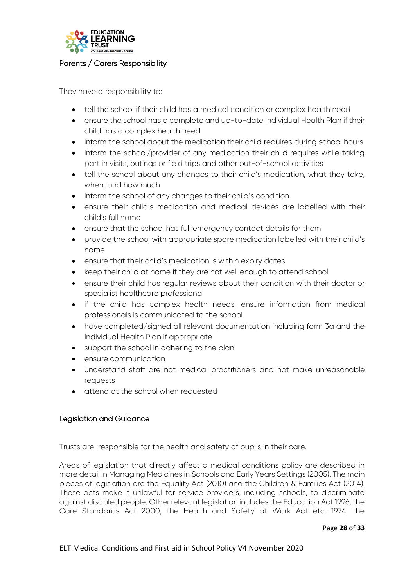

#### <span id="page-28-0"></span>Parents / Carers Responsibility

They have a responsibility to:

- tell the school if their child has a medical condition or complex health need
- ensure the school has a complete and up-to-date Individual Health Plan if their child has a complex health need
- inform the school about the medication their child requires during school hours
- inform the school/provider of any medication their child requires while taking part in visits, outings or field trips and other out-of-school activities
- tell the school about any changes to their child's medication, what they take, when, and how much
- inform the school of any changes to their child's condition
- ensure their child's medication and medical devices are labelled with their child's full name
- ensure that the school has full emergency contact details for them
- provide the school with appropriate spare medication labelled with their child's name
- ensure that their child's medication is within expiry dates
- keep their child at home if they are not well enough to attend school
- ensure their child has regular reviews about their condition with their doctor or specialist healthcare professional
- if the child has complex health needs, ensure information from medical professionals is communicated to the school
- have completed/signed all relevant documentation including form 3a and the Individual Health Plan if appropriate
- support the school in adhering to the plan
- **e** ensure communication
- understand staff are not medical practitioners and not make unreasonable requests
- attend at the school when requested

#### <span id="page-28-1"></span>Legislation and Guidance

Trusts are responsible for the health and safety of pupils in their care.

Areas of legislation that directly affect a medical conditions policy are described in more detail in Managing Medicines in Schools and Early Years Settings (2005). The main pieces of legislation are the Equality Act (2010) and the Children & Families Act (2014). These acts make it unlawful for service providers, including schools, to discriminate against disabled people. Other relevant legislation includes the Education Act 1996, the Care Standards Act 2000, the Health and Safety at Work Act etc. 1974, the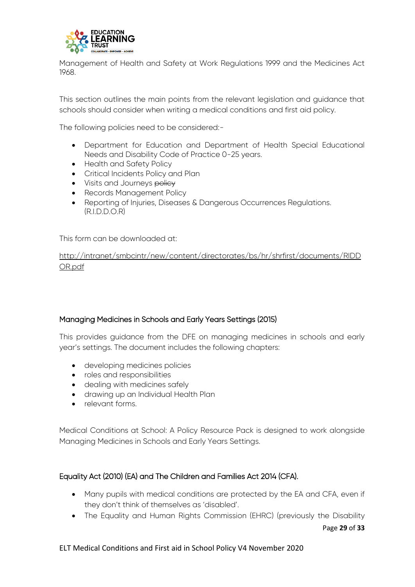

Management of Health and Safety at Work Regulations 1999 and the Medicines Act 1968.

This section outlines the main points from the relevant legislation and guidance that schools should consider when writing a medical conditions and first aid policy.

The following policies need to be considered:-

- Department for Education and Department of Health Special Educational Needs and Disability Code of Practice 0-25 years.
- Health and Safety Policy
- Critical Incidents Policy and Plan
- Visits and Journeys policy
- Records Management Policy
- Reporting of Injuries, Diseases & Dangerous Occurrences Regulations.  $(RIDDOR)$

This form can be downloaded at:

[http://intranet/smbcintr/new/content/directorates/bs/hr/shrfirst/documents/RIDD](http://intranet/smbcintr/new/content/directorates/bs/hr/shrfirst/documents/RIDDOR.pdf) [OR.pdf](http://intranet/smbcintr/new/content/directorates/bs/hr/shrfirst/documents/RIDDOR.pdf)

#### Managing Medicines in Schools and Early Years Settings (2015)

This provides guidance from the DFE on managing medicines in schools and early year's settings. The document includes the following chapters:

- developing medicines policies
- roles and responsibilities
- dealing with medicines safely
- drawing up an Individual Health Plan
- relevant forms.

Medical Conditions at School: A Policy Resource Pack is designed to work alongside Managing Medicines in Schools and Early Years Settings.

# Equality Act (2010) (EA) and The Children and Families Act 2014 (CFA).

- Many pupils with medical conditions are protected by the EA and CFA, even if they don't think of themselves as 'disabled'.
- Page **29** of **33** The Equality and Human Rights Commission (EHRC) (previously the Disability

# ELT Medical Conditions and First aid in School Policy V4 November 2020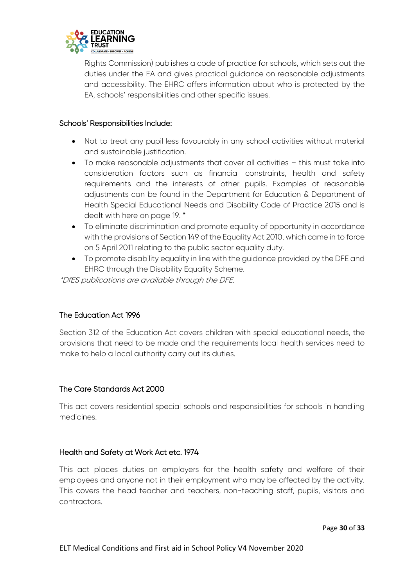

Rights Commission) publishes a code of practice for schools, which sets out the duties under the EA and gives practical guidance on reasonable adjustments and accessibility. The EHRC offers information about who is protected by the EA, schools' responsibilities and other specific issues.

## Schools' Responsibilities Include:

- Not to treat any pupil less favourably in any school activities without material and sustainable justification.
- To make reasonable adjustments that cover all activities this must take into consideration factors such as financial constraints, health and safety requirements and the interests of other pupils. Examples of reasonable adjustments can be found in the Department for Education & Department of Health Special Educational Needs and Disability Code of Practice 2015 and is dealt with here on page 19. \*
- To eliminate discrimination and promote equality of opportunity in accordance with the provisions of Section 149 of the Equality Act 2010, which came in to force on 5 April 2011 relating to the public sector equality duty.
- To promote disability equality in line with the guidance provided by the DFE and EHRC through the Disability Equality Scheme.

\*DfES publications are available through the DFE.

# The Education Act 1996

Section 312 of the Education Act covers children with special educational needs, the provisions that need to be made and the requirements local health services need to make to help a local authority carry out its duties.

#### The Care Standards Act 2000

This act covers residential special schools and responsibilities for schools in handling medicines.

# Health and Safety at Work Act etc. 1974

This act places duties on employers for the health safety and welfare of their employees and anyone not in their employment who may be affected by the activity. This covers the head teacher and teachers, non-teaching staff, pupils, visitors and contractors.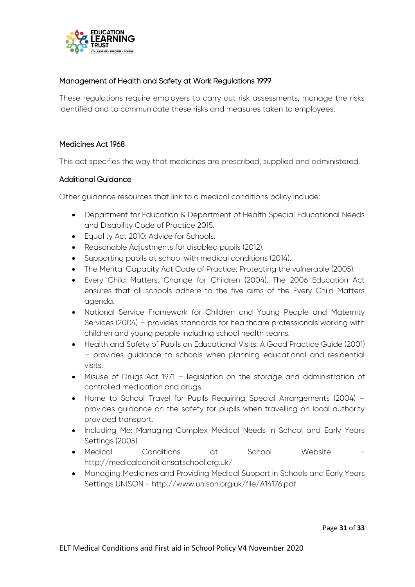

# Management of Health and Safety at Work Regulations 1999

These regulations require employers to carry out risk assessments, manage the risks identified and to communicate these risks and measures taken to employees.

## Medicines Act 1968

This act specifies the way that medicines are prescribed, supplied and administered.

#### Additional Guidance

Other guidance resources that link to a medical conditions policy include:

- Department for Education & Department of Health Special Educational Needs and Disability Code of Practice 2015.
- **•** Equality Act 2010: Advice for Schools.
- Reasonable Adjustments for disabled pupils (2012).
- Supporting pupils at school with medical conditions (2014).
- The Mental Capacity Act Code of Practice: Protecting the vulnerable (2005).
- Every Child Matters: Change for Children (2004). The 2006 Education Act ensures that all schools adhere to the five aims of the Every Child Matters agenda.
- National Service Framework for Children and Young People and Maternity Services (2004) – provides standards for healthcare professionals working with children and young people including school health teams.
- Health and Safety of Pupils on Educational Visits: A Good Practice Guide (2001) – provides guidance to schools when planning educational and residential visits.
- Misuse of Drugs Act 1971 legislation on the storage and administration of controlled medication and drugs.
- Home to School Travel for Pupils Requiring Special Arrangements (2004) provides guidance on the safety for pupils when travelling on local authority provided transport.
- Including Me: Managing Complex Medical Needs in School and Early Years Settings (2005).
- Medical Conditions at School Website http://medicalconditionsatschool.org.uk/
- Managing Medicines and Providing Medical Support in Schools and Early Years Settings UNISON - http://www.unison.org.uk/file/A14176.pdf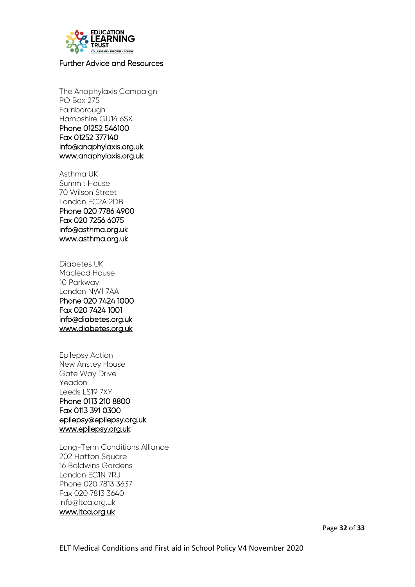

# <span id="page-32-0"></span>Further Advice and Resources

The Anaphylaxis Campaign PO Box 275 Farnborough Hampshire GU14 6SX Phone 01252 546100 Fax 01252 377140 info@anaphylaxis.org.uk [www.anaphylaxis.org.uk](http://www.anaphylaxis.org.uk/) 

Asthma UK Summit House 70 Wilson Street London EC2A 2DB Phone 020 7786 4900 Fax 020 7256 6075 info@asthma.org.uk [www.asthma.org.uk](http://www.asthma.org.uk/) 

Diabetes UK Macleod House 10 Parkway London NW1 7AA Phone 020 7424 1000 Fax 020 7424 1001 info@diabetes.org.uk [www.diabetes.org.uk](http://www.diabetes.org.uk/) 

Epilepsy Action New Anstey House Gate Way Drive Yeadon Leeds LS19 7XY Phone 0113 210 8800 Fax 0113 391 0300 epilepsy@epilepsy.org.uk [www.epilepsy.org.uk](http://www.epilepsy.org.uk/) 

Long-Term Conditions Alliance 202 Hatton Square 16 Baldwins Gardens London EC1N 7RJ Phone 020 7813 3637 Fax 020 7813 3640 info@ltca.org.uk [www.ltca.org.uk](http://www.ltca.org.uk/)

Page **32** of **33**